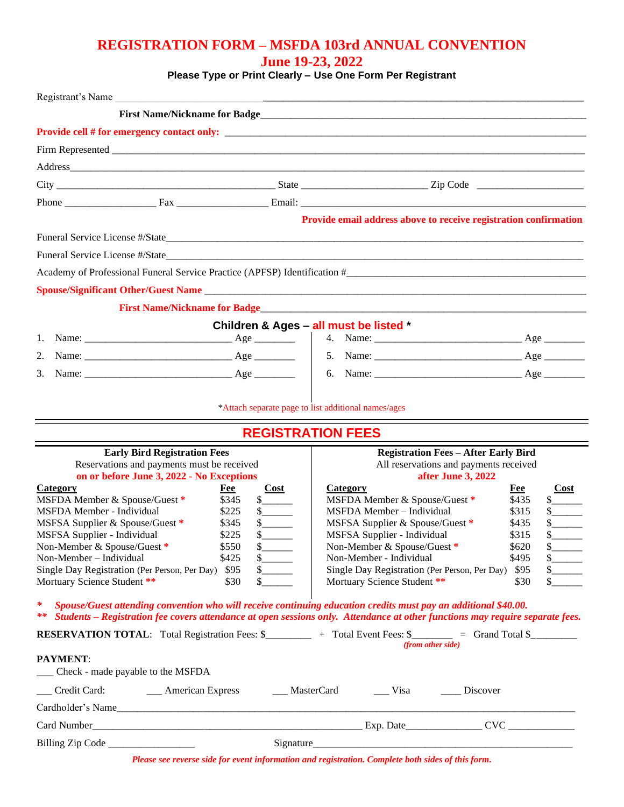### **REGISTRATION FORM – MSFDA 103rd ANNUAL CONVENTION**

#### **June 19-23, 2022**

**Please Type or Print Clearly – Use One Form Per Registrant**

| Registrant's Name                                                                                                                          |                  |                                                                                                                                                                                                                                  |                |              |
|--------------------------------------------------------------------------------------------------------------------------------------------|------------------|----------------------------------------------------------------------------------------------------------------------------------------------------------------------------------------------------------------------------------|----------------|--------------|
|                                                                                                                                            |                  |                                                                                                                                                                                                                                  |                |              |
|                                                                                                                                            |                  |                                                                                                                                                                                                                                  |                |              |
|                                                                                                                                            |                  |                                                                                                                                                                                                                                  |                |              |
|                                                                                                                                            |                  |                                                                                                                                                                                                                                  |                |              |
|                                                                                                                                            |                  |                                                                                                                                                                                                                                  |                |              |
|                                                                                                                                            |                  |                                                                                                                                                                                                                                  |                |              |
|                                                                                                                                            |                  | Provide email address above to receive registration confirmation                                                                                                                                                                 |                |              |
|                                                                                                                                            |                  |                                                                                                                                                                                                                                  |                |              |
|                                                                                                                                            |                  |                                                                                                                                                                                                                                  |                |              |
|                                                                                                                                            |                  |                                                                                                                                                                                                                                  |                |              |
|                                                                                                                                            |                  |                                                                                                                                                                                                                                  |                |              |
|                                                                                                                                            |                  | First Name/Nickname for Badge<br>and the contract of the contract of the contract of the contract of the contract of the contract of the contract of the contract of the contract of the contract of the contract of the contrac |                |              |
|                                                                                                                                            |                  | Children & Ages - all must be listed *                                                                                                                                                                                           |                |              |
|                                                                                                                                            |                  |                                                                                                                                                                                                                                  |                |              |
| 2.                                                                                                                                         |                  |                                                                                                                                                                                                                                  |                |              |
|                                                                                                                                            |                  |                                                                                                                                                                                                                                  |                |              |
|                                                                                                                                            |                  |                                                                                                                                                                                                                                  |                |              |
|                                                                                                                                            |                  | *Attach separate page to list additional names/ages                                                                                                                                                                              |                |              |
|                                                                                                                                            |                  |                                                                                                                                                                                                                                  |                |              |
|                                                                                                                                            |                  | <b>REGISTRATION FEES</b>                                                                                                                                                                                                         |                |              |
| <b>Early Bird Registration Fees</b><br>Reservations and payments must be received                                                          |                  | <b>Registration Fees - After Early Bird</b><br>All reservations and payments received                                                                                                                                            |                |              |
| on or before June 3, 2022 - No Exceptions                                                                                                  |                  | after June 3, 2022                                                                                                                                                                                                               |                |              |
| Category<br>Fee                                                                                                                            | Cost             | Category                                                                                                                                                                                                                         | Fee            | Cost         |
| MSFDA Member & Spouse/Guest *<br>\$345                                                                                                     | s                | MSFDA Member & Spouse/Guest *                                                                                                                                                                                                    | \$435          | s            |
| MSFDA Member - Individual<br>\$225<br>\$345                                                                                                |                  | MSFDA Member - Individual                                                                                                                                                                                                        | \$315          |              |
| MSFSA Supplier & Spouse/Guest *<br>MSFSA Supplier - Individual<br>\$225                                                                    | $\frac{1}{2}$    | MSFSA Supplier & Spouse/Guest *<br>MSFSA Supplier - Individual                                                                                                                                                                   | \$435<br>\$315 | s<br>s       |
| Non-Member & Spouse/Guest *<br>\$550                                                                                                       |                  | Non-Member & Spouse/Guest *                                                                                                                                                                                                      | \$620          |              |
| \$425<br>Non-Member - Individual                                                                                                           | s                | Non-Member - Individual                                                                                                                                                                                                          | \$495          |              |
| Single Day Registration (Per Person, Per Day) \$95                                                                                         | $\underbrace{\$$ | Single Day Registration (Per Person, Per Day) \$95                                                                                                                                                                               |                |              |
| Mortuary Science Student **<br>\$30                                                                                                        | $\sim$           | Mortuary Science Student **                                                                                                                                                                                                      | \$30           | $\mathbb{S}$ |
| *<br>Spouse/Guest attending convention who will receive continuing education credits must pay an additional \$40.00.                       |                  |                                                                                                                                                                                                                                  |                |              |
| **<br>Students – Registration fee covers attendance at open sessions only. Attendance at other functions may require separate fees.        |                  |                                                                                                                                                                                                                                  |                |              |
| <b>RESERVATION TOTAL:</b> Total Registration Fees: $\frac{1}{2}$ + Total Event Fees: $\frac{1}{2}$ = Grand Total $\frac{1}{2}$ = _________ |                  | (from other side)                                                                                                                                                                                                                |                |              |
| <b>PAYMENT:</b>                                                                                                                            |                  |                                                                                                                                                                                                                                  |                |              |
| _ Check - made payable to the MSFDA                                                                                                        |                  |                                                                                                                                                                                                                                  |                |              |
|                                                                                                                                            |                  |                                                                                                                                                                                                                                  |                |              |
|                                                                                                                                            |                  |                                                                                                                                                                                                                                  |                |              |
|                                                                                                                                            |                  |                                                                                                                                                                                                                                  |                |              |
|                                                                                                                                            |                  | Signature                                                                                                                                                                                                                        |                |              |

*Please see reverse side for event information and registration. Complete both sides of this form.*